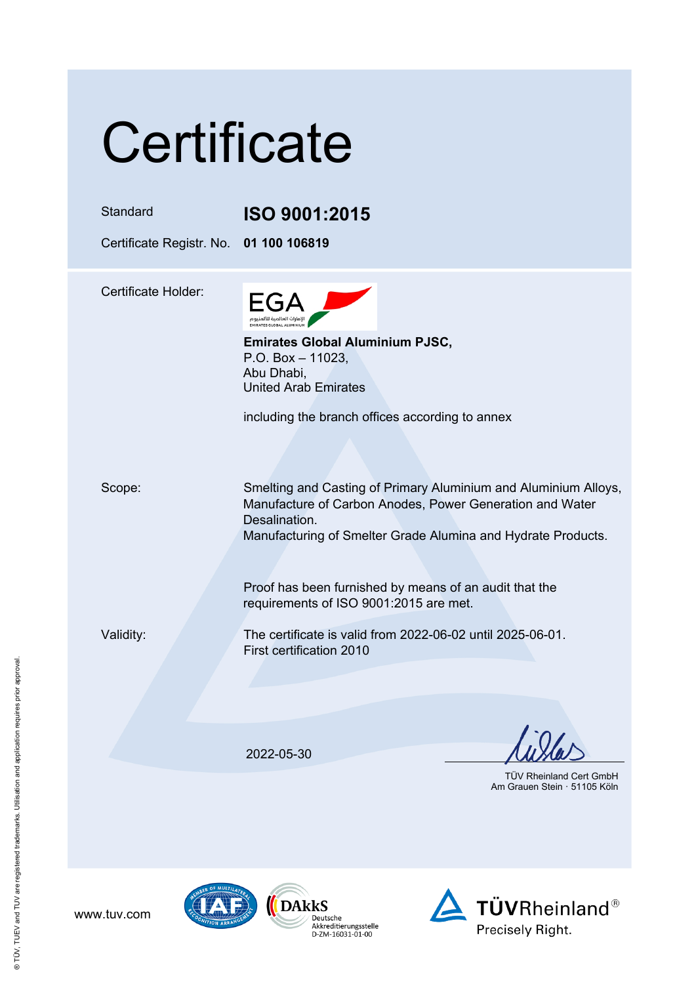| Certificate                |                                                                                                                                                                                                              |  |
|----------------------------|--------------------------------------------------------------------------------------------------------------------------------------------------------------------------------------------------------------|--|
| Standard                   | ISO 9001:2015                                                                                                                                                                                                |  |
| Certificate Registr. No.   | 01 100 106819                                                                                                                                                                                                |  |
| <b>Certificate Holder:</b> | EGA<br>الإمارات العالمية للألمنيوم<br>ЕМІВАТЕS GLOBAL ALUMINIUM<br><b>Emirates Global Aluminium PJSC,</b><br>P.O. Box $-$ 11023,<br>Abu Dhabi,<br><b>United Arab Emirates</b>                                |  |
|                            | including the branch offices according to annex                                                                                                                                                              |  |
| Scope:                     | Smelting and Casting of Primary Aluminium and Aluminium Alloys,<br>Manufacture of Carbon Anodes, Power Generation and Water<br>Desalination.<br>Manufacturing of Smelter Grade Alumina and Hydrate Products. |  |
|                            | Proof has been furnished by means of an audit that the<br>requirements of ISO 9001:2015 are met.                                                                                                             |  |
| Validity:                  | The certificate is valid from 2022-06-02 until 2025-06-01.<br>First certification 2010                                                                                                                       |  |
|                            | 2022-05-30                                                                                                                                                                                                   |  |
|                            | <b>TÜV Rheinland Cert GmbH</b><br>Am Grauen Stein · 51105 Köln                                                                                                                                               |  |



www.tuv.com